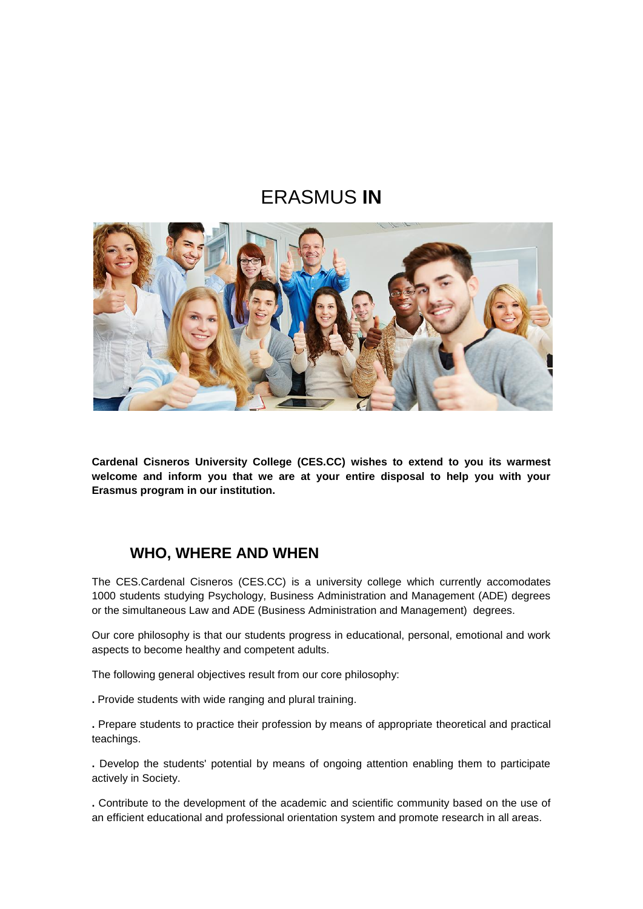# ERASMUS **IN**



**Cardenal Cisneros University College (CES.CC) wishes to extend to you its warmest welcome and inform you that we are at your entire disposal to help you with your Erasmus program in our institution.** 

### **WHO, WHERE AND WHEN**

The CES.Cardenal Cisneros (CES.CC) is a university college which currently accomodates 1000 students studying Psychology, Business Administration and Management (ADE) degrees or the simultaneous Law and ADE (Business Administration and Management) degrees.

Our core philosophy is that our students progress in educational, personal, emotional and work aspects to become healthy and competent adults.

The following general objectives result from our core philosophy:

**.** Provide students with wide ranging and plural training.

**.** Prepare students to practice their profession by means of appropriate theoretical and practical teachings.

**.** Develop the students' potential by means of ongoing attention enabling them to participate actively in Society.

**.** Contribute to the development of the academic and scientific community based on the use of an efficient educational and professional orientation system and promote research in all areas.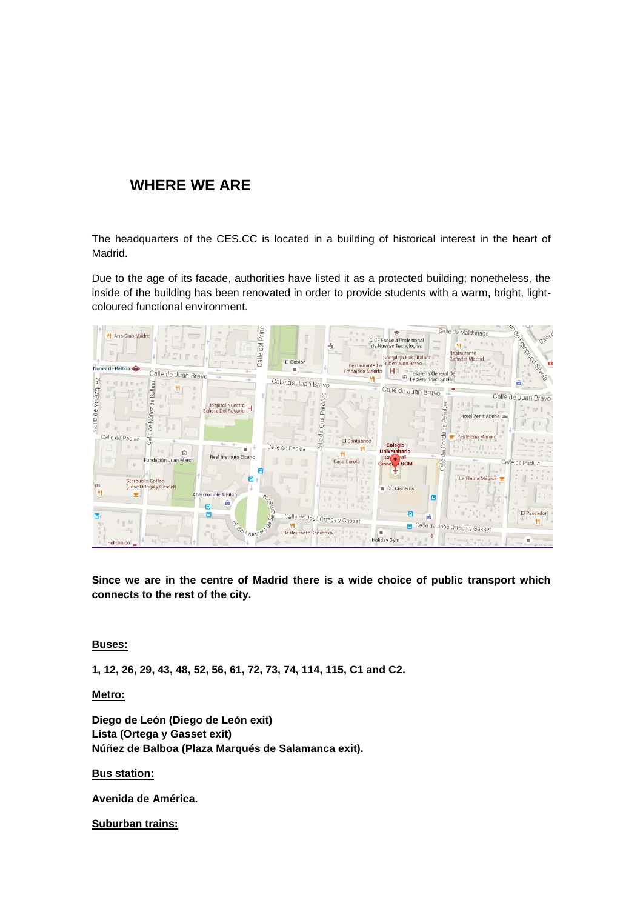### **WHERE WE ARE**

The headquarters of the CES.CC is located in a building of historical interest in the heart of Madrid.

Due to the age of its facade, authorities have listed it as a protected building; nonetheless, the inside of the building has been renovated in order to provide students with a warm, bright, lightcoloured functional environment.



**Since we are in the centre of Madrid there is a wide choice of public transport which connects to the rest of the city.** 

#### **Buses:**

**1, 12, 26, 29, 43, 48, 52, 56, 61, 72, 73, 74, 114, 115, C1 and C2.**

**Metro:**

**Diego de León (Diego de León exit) Lista (Ortega y Gasset exit) Núñez de Balboa (Plaza Marqués de Salamanca exit).**

**Bus station:** 

**Avenida de América.**

**Suburban trains:**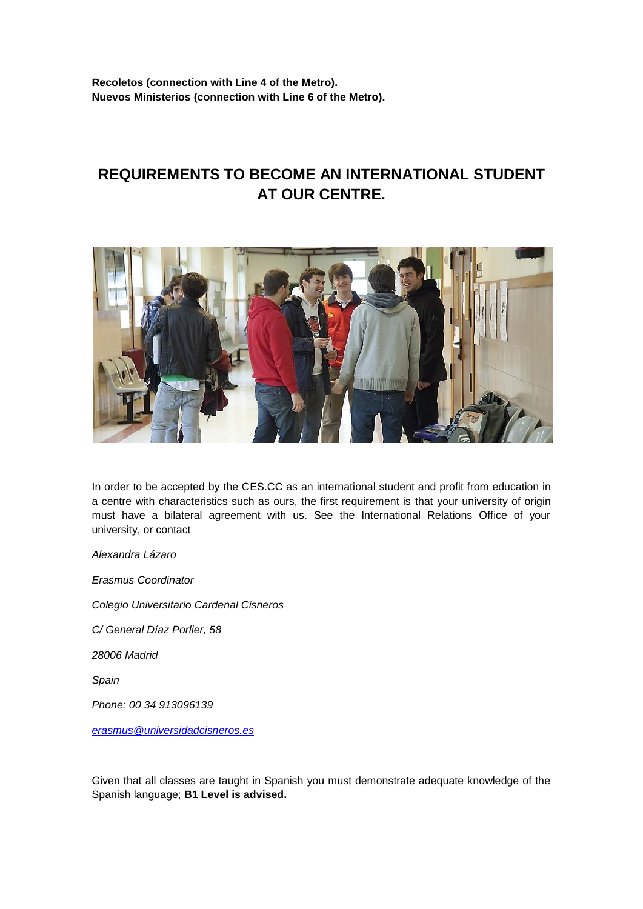**Recoletos (connection with Line 4 of the Metro). Nuevos Ministerios (connection with Line 6 of the Metro).**

## **REQUIREMENTS TO BECOME AN INTERNATIONAL STUDENT AT OUR CENTRE.**



In order to be accepted by the CES.CC as an international student and profit from education in a centre with characteristics such as ours, the first requirement is that your university of origin must have a bilateral agreement with us. See the International Relations Office of your university, or contact

*Alexandra Lázaro*

*Erasmus Coordinator*

*Colegio Universitario Cardenal Cisneros*

*C/ General Díaz Porlier, 58*

*28006 Madrid*

*Spain* 

*Phone: 00 34 913096139*

*[erasmus@universidadcisneros.es](mailto:erasmus@universidadcisneros.es)*

Given that all classes are taught in Spanish you must demonstrate adequate knowledge of the Spanish language; **B1 Level is advised.**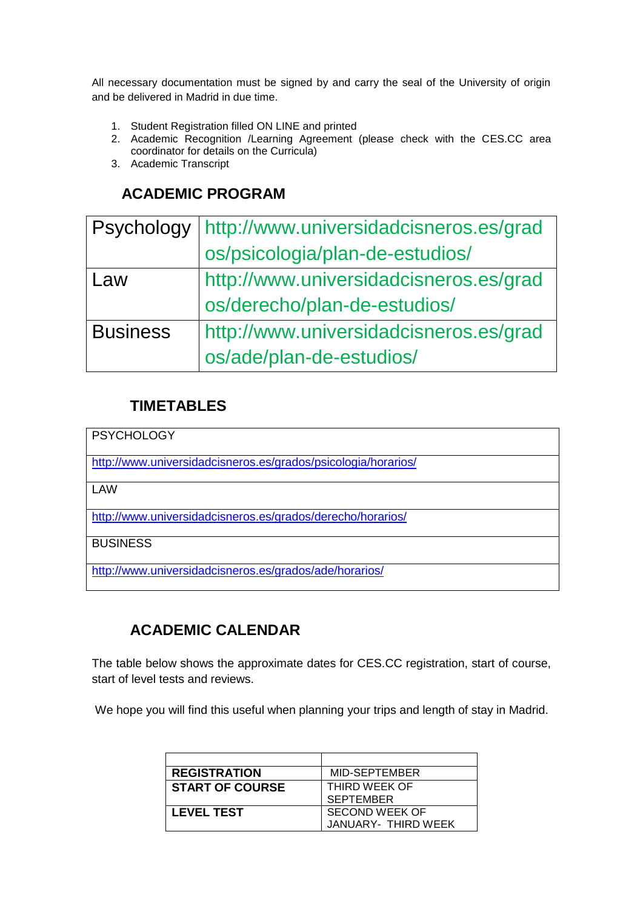All necessary documentation must be signed by and carry the seal of the University of origin and be delivered in Madrid in due time.

- 1. Student Registration filled ON LINE and printed
- 2. Academic Recognition /Learning Agreement (please check with the CES.CC area coordinator for details on the Curricula)
- 3. Academic Transcript

### **ACADEMIC PROGRAM**

| Psychology      | http://www.universidadcisneros.es/grad |
|-----------------|----------------------------------------|
|                 | os/psicologia/plan-de-estudios/        |
| Law             | http://www.universidadcisneros.es/grad |
|                 | os/derecho/plan-de-estudios/           |
| <b>Business</b> | http://www.universidadcisneros.es/grad |
|                 | os/ade/plan-de-estudios/               |

### **TIMETABLES**

**PSYCHOLOGY** 

<http://www.universidadcisneros.es/grados/psicologia/horarios/>

LAW

<http://www.universidadcisneros.es/grados/derecho/horarios/>

**BUSINESS** 

<http://www.universidadcisneros.es/grados/ade/horarios/>

## **ACADEMIC CALENDAR**

The table below shows the approximate dates for CES.CC registration, start of course, start of level tests and reviews.

We hope you will find this useful when planning your trips and length of stay in Madrid.

| <b>REGISTRATION</b>    | MID-SEPTEMBER       |
|------------------------|---------------------|
| <b>START OF COURSE</b> | THIRD WEEK OF       |
|                        | <b>SEPTEMBER</b>    |
| <b>LEVEL TEST</b>      | SECOND WEEK OF      |
|                        | JANUARY- THIRD WEEK |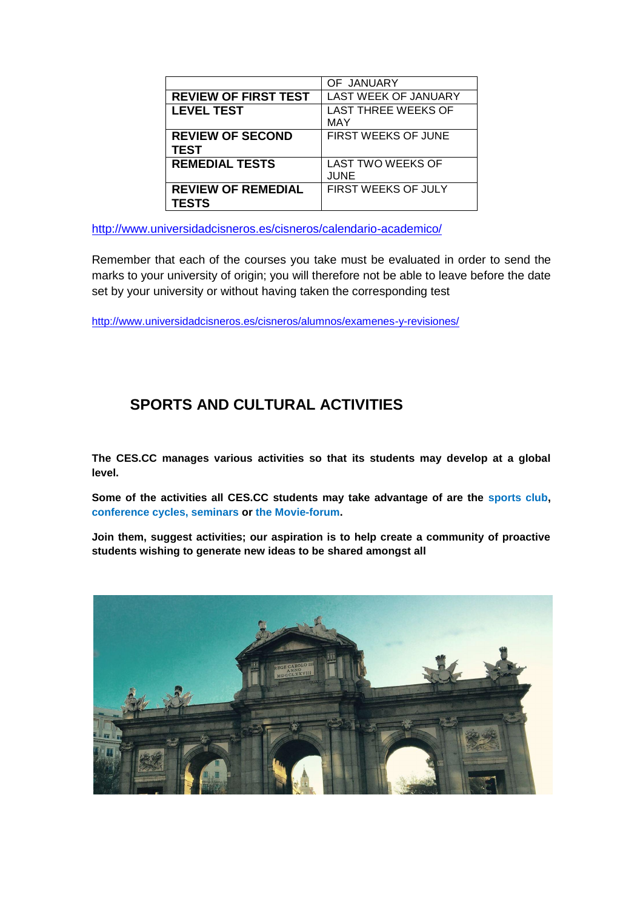|                                           | OF JANUARY                               |
|-------------------------------------------|------------------------------------------|
| <b>REVIEW OF FIRST TEST</b>               | <b>LAST WEEK OF JANUARY</b>              |
| <b>LEVEL TEST</b>                         | <b>LAST THREE WEEKS OF</b><br><b>MAY</b> |
| <b>REVIEW OF SECOND</b><br><b>TEST</b>    | <b>FIRST WEEKS OF JUNE</b>               |
| <b>REMEDIAL TESTS</b>                     | <b>LAST TWO WEEKS OF</b><br><b>JUNE</b>  |
| <b>REVIEW OF REMEDIAL</b><br><b>TESTS</b> | FIRST WEEKS OF JULY                      |

<http://www.universidadcisneros.es/cisneros/calendario-academico/>

Remember that each of the courses you take must be evaluated in order to send the marks to your university of origin; you will therefore not be able to leave before the date set by your university or without having taken the corresponding test

<http://www.universidadcisneros.es/cisneros/alumnos/examenes-y-revisiones/>

## **SPORTS AND CULTURAL ACTIVITIES**

**The CES.CC manages various activities so that its students may develop at a global level.**

**Some of the activities all CES.CC students may take advantage of are the sports club, conference cycles, seminars or the Movie-forum.**

**Join them, suggest activities; our aspiration is to help create a community of proactive students wishing to generate new ideas to be shared amongst all**

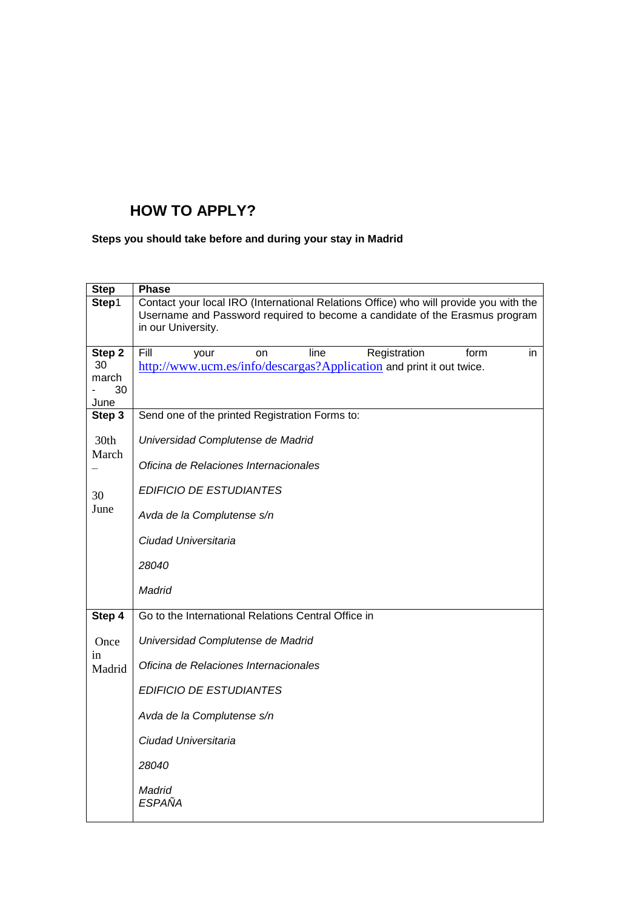## **HOW TO APPLY?**

### **Steps you should take before and during your stay in Madrid**

| <b>Step</b>                         | <b>Phase</b>                                                                                                                                                                               |
|-------------------------------------|--------------------------------------------------------------------------------------------------------------------------------------------------------------------------------------------|
| Step1                               | Contact your local IRO (International Relations Office) who will provide you with the<br>Username and Password required to become a candidate of the Erasmus program<br>in our University. |
| Step 2<br>30<br>march<br>30<br>June | Fill<br>Registration<br>line<br>form<br>your<br>on<br>in.<br>http://www.ucm.es/info/descargas?Application and print it out twice.                                                          |
| Step 3                              | Send one of the printed Registration Forms to:                                                                                                                                             |
| 30th<br>March                       | Universidad Complutense de Madrid<br>Oficina de Relaciones Internacionales                                                                                                                 |
| 30                                  | <b>EDIFICIO DE ESTUDIANTES</b>                                                                                                                                                             |
| June                                | Avda de la Complutense s/n                                                                                                                                                                 |
|                                     | Ciudad Universitaria                                                                                                                                                                       |
|                                     | 28040                                                                                                                                                                                      |
|                                     | Madrid                                                                                                                                                                                     |
| Step 4                              | Go to the International Relations Central Office in                                                                                                                                        |
| Once<br>in<br>Madrid                | Universidad Complutense de Madrid                                                                                                                                                          |
|                                     | Oficina de Relaciones Internacionales                                                                                                                                                      |
|                                     | <b>EDIFICIO DE ESTUDIANTES</b>                                                                                                                                                             |
|                                     | Avda de la Complutense s/n                                                                                                                                                                 |
|                                     | Ciudad Universitaria                                                                                                                                                                       |
|                                     | 28040                                                                                                                                                                                      |
|                                     | Madrid<br><b>ESPAÑA</b>                                                                                                                                                                    |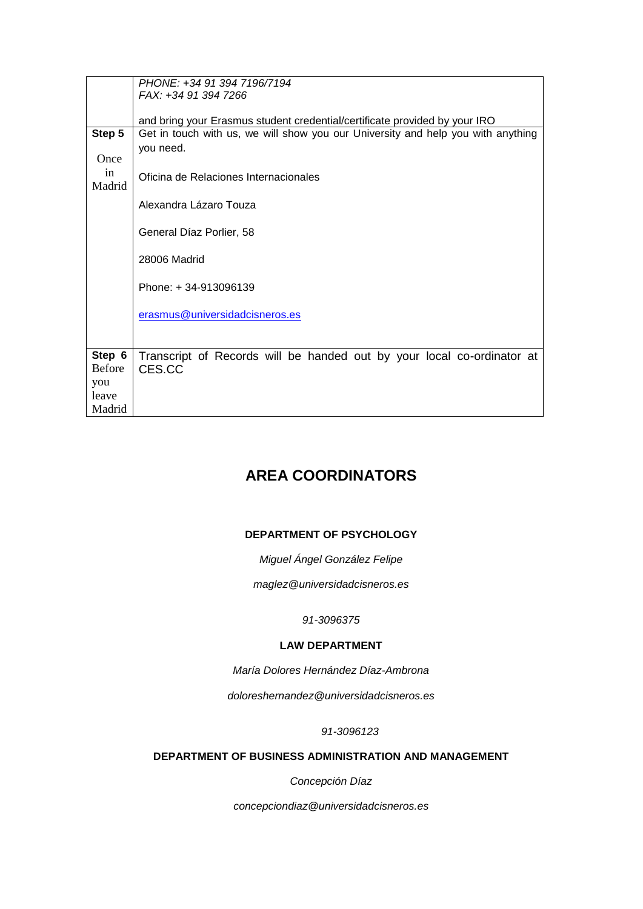|                 | PHONE: +34 91 394 7196/7194<br>FAX: +34 91 394 7266                              |
|-----------------|----------------------------------------------------------------------------------|
|                 |                                                                                  |
|                 | and bring your Erasmus student credential/certificate provided by your IRO       |
| Step 5          | Get in touch with us, we will show you our University and help you with anything |
| Once            | you need.                                                                        |
| in<br>Madrid    | Oficina de Relaciones Internacionales                                            |
|                 | Alexandra Lázaro Touza                                                           |
|                 | General Díaz Porlier, 58                                                         |
|                 | 28006 Madrid                                                                     |
|                 | Phone: +34-913096139                                                             |
|                 | erasmus@universidadcisneros.es                                                   |
| Step 6          |                                                                                  |
| <b>Before</b>   | Transcript of Records will be handed out by your local co-ordinator at<br>CES.CC |
| you             |                                                                                  |
|                 |                                                                                  |
|                 |                                                                                  |
| leave<br>Madrid |                                                                                  |

## **AREA COORDINATORS**

### **DEPARTMENT OF PSYCHOLOGY**

*Miguel Ángel González Felipe*

*maglez@universidadcisneros.es*

#### *91-3096375*

### **LAW DEPARTMENT**

*María Dolores Hernández Díaz-Ambrona*

*doloreshernandez@universidadcisneros.es*

#### *91-3096123*

### **DEPARTMENT OF BUSINESS ADMINISTRATION AND MANAGEMENT**

*Concepción Díaz*

*concepciondiaz@universidadcisneros.es*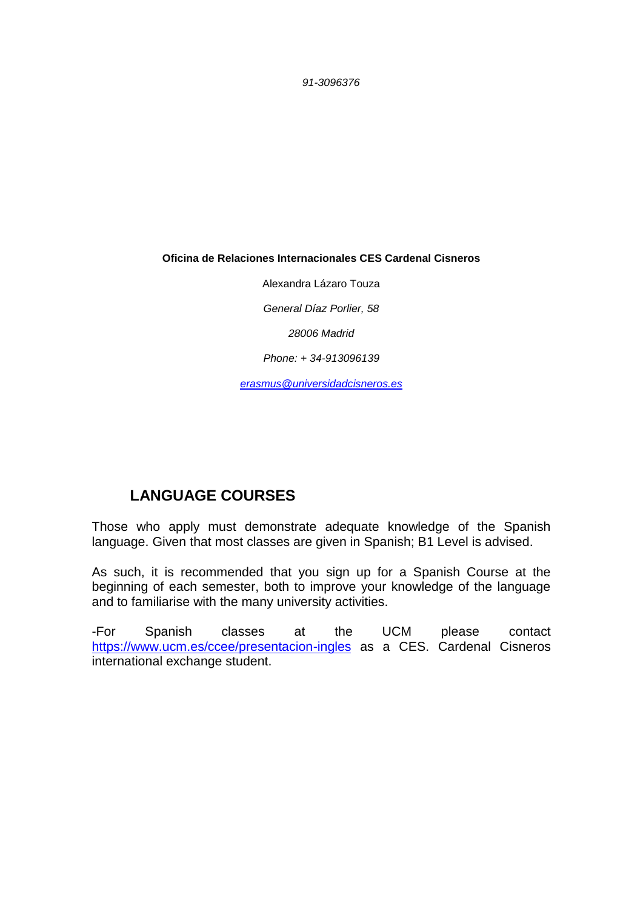*91-3096376*

**Oficina de Relaciones Internacionales CES Cardenal Cisneros**

Alexandra Lázaro Touza *General Díaz Porlier, 58 28006 Madrid*

*Phone: + 34-913096139*

*[erasmus@universidadcisneros.es](mailto:erasmus@universidadcisneros.es)*

## **LANGUAGE COURSES**

Those who apply must demonstrate adequate knowledge of the Spanish language. Given that most classes are given in Spanish; B1 Level is advised.

As such, it is recommended that you sign up for a Spanish Course at the beginning of each semester, both to improve your knowledge of the language and to familiarise with the many university activities.

-For Spanish classes at the UCM please contact <https://www.ucm.es/ccee/presentacion-ingles> as a CES. Cardenal Cisneros international exchange student.